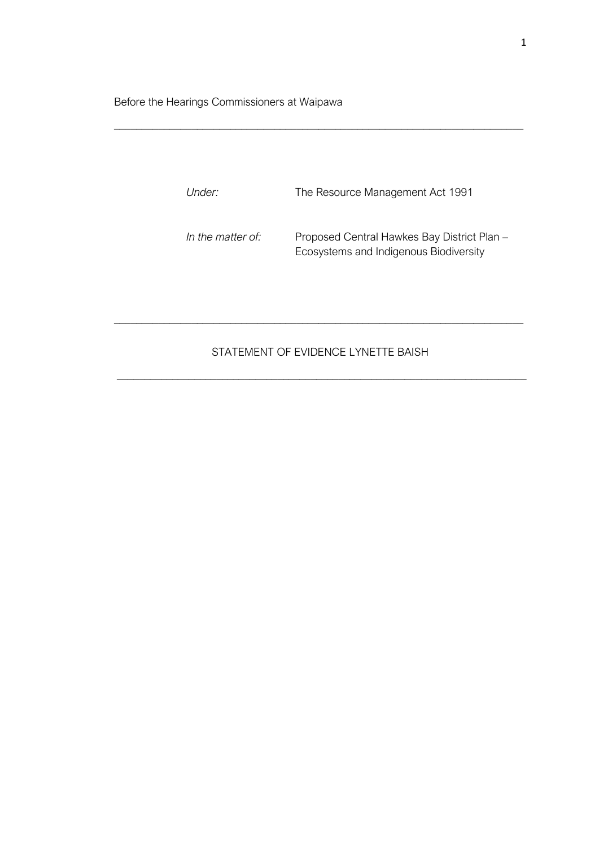Before the Hearings Commissioners at Waipawa

| <i>Under:</i>     | The Resource Management Act 1991                                                      |
|-------------------|---------------------------------------------------------------------------------------|
| In the matter of: | Proposed Central Hawkes Bay District Plan -<br>Ecosystems and Indigenous Biodiversity |

\_\_\_\_\_\_\_\_\_\_\_\_\_\_\_\_\_\_\_\_\_\_\_\_\_\_\_\_\_\_\_\_\_\_\_\_\_\_\_\_\_\_\_\_\_\_\_\_\_\_\_\_\_\_\_\_\_\_\_\_\_\_\_\_\_\_\_\_\_\_\_\_\_\_

## STATEMENT OF EVIDENCE LYNETTE BAISH

\_\_\_\_\_\_\_\_\_\_\_\_\_\_\_\_\_\_\_\_\_\_\_\_\_\_\_\_\_\_\_\_\_\_\_\_\_\_\_\_\_\_\_\_\_\_\_\_\_\_\_\_\_\_\_\_\_\_\_\_\_\_\_\_\_\_\_\_\_\_\_\_\_\_

\_\_\_\_\_\_\_\_\_\_\_\_\_\_\_\_\_\_\_\_\_\_\_\_\_\_\_\_\_\_\_\_\_\_\_\_\_\_\_\_\_\_\_\_\_\_\_\_\_\_\_\_\_\_\_\_\_\_\_\_\_\_\_\_\_\_\_\_\_\_\_\_\_\_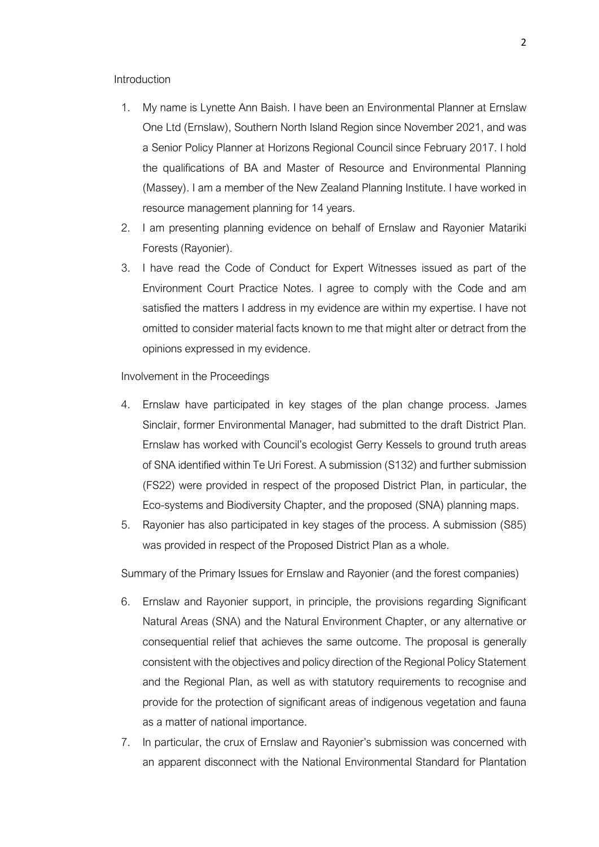## **Introduction**

- 1. My name is Lynette Ann Baish. I have been an Environmental Planner at Ernslaw One Ltd (Ernslaw), Southern North Island Region since November 2021, and was a Senior Policy Planner at Horizons Regional Council since February 2017. I hold the qualifications of BA and Master of Resource and Environmental Planning (Massey). I am a member of the New Zealand Planning Institute. I have worked in resource management planning for 14 years.
- 2. I am presenting planning evidence on behalf of Ernslaw and Rayonier Matariki Forests (Rayonier).
- 3. I have read the Code of Conduct for Expert Witnesses issued as part of the Environment Court Practice Notes. I agree to comply with the Code and am satisfied the matters I address in my evidence are within my expertise. I have not omitted to consider material facts known to me that might alter or detract from the opinions expressed in my evidence.

## Involvement in the Proceedings

- 4. Ernslaw have participated in key stages of the plan change process. James Sinclair, former Environmental Manager, had submitted to the draft District Plan. Ernslaw has worked with Council's ecologist Gerry Kessels to ground truth areas of SNA identified within Te Uri Forest. A submission (S132) and further submission (FS22) were provided in respect of the proposed District Plan, in particular, the Eco-systems and Biodiversity Chapter, and the proposed (SNA) planning maps.
- 5. Rayonier has also participated in key stages of the process. A submission (S85) was provided in respect of the Proposed District Plan as a whole.

Summary of the Primary Issues for Ernslaw and Rayonier (and the forest companies)

- 6. Ernslaw and Rayonier support, in principle, the provisions regarding Significant Natural Areas (SNA) and the Natural Environment Chapter, or any alternative or consequential relief that achieves the same outcome. The proposal is generally consistent with the objectives and policy direction of the Regional Policy Statement and the Regional Plan, as well as with statutory requirements to recognise and provide for the protection of significant areas of indigenous vegetation and fauna as a matter of national importance.
- 7. In particular, the crux of Ernslaw and Rayonier's submission was concerned with an apparent disconnect with the National Environmental Standard for Plantation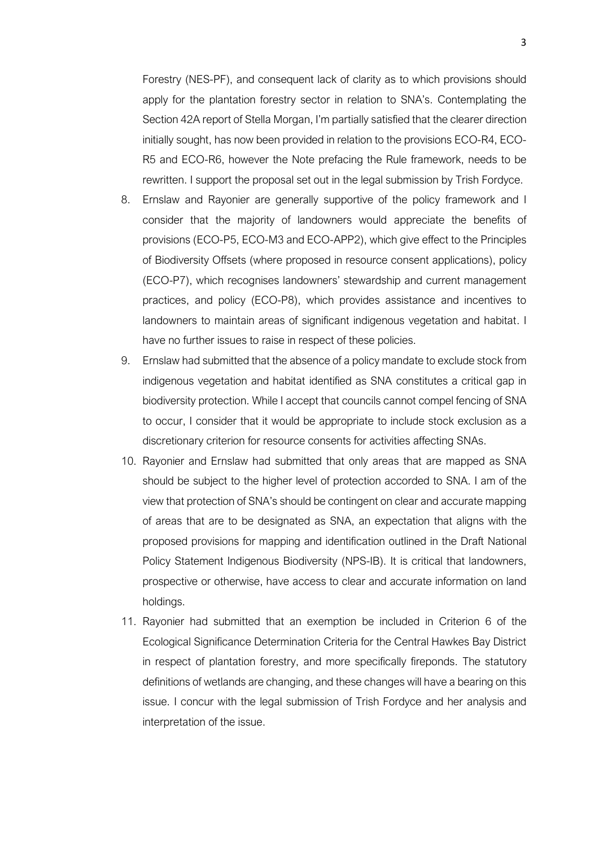Forestry (NES-PF), and consequent lack of clarity as to which provisions should apply for the plantation forestry sector in relation to SNA's. Contemplating the Section 42A report of Stella Morgan, I'm partially satisfied that the clearer direction initially sought, has now been provided in relation to the provisions ECO-R4, ECO-R5 and ECO-R6, however the Note prefacing the Rule framework, needs to be rewritten. I support the proposal set out in the legal submission by Trish Fordyce.

- 8. Ernslaw and Rayonier are generally supportive of the policy framework and I consider that the majority of landowners would appreciate the benefits of provisions (ECO-P5, ECO-M3 and ECO-APP2), which give effect to the Principles of Biodiversity Offsets (where proposed in resource consent applications), policy (ECO-P7), which recognises landowners' stewardship and current management practices, and policy (ECO-P8), which provides assistance and incentives to landowners to maintain areas of significant indigenous vegetation and habitat. I have no further issues to raise in respect of these policies.
- 9. Ernslaw had submitted that the absence of a policy mandate to exclude stock from indigenous vegetation and habitat identified as SNA constitutes a critical gap in biodiversity protection. While I accept that councils cannot compel fencing of SNA to occur, I consider that it would be appropriate to include stock exclusion as a discretionary criterion for resource consents for activities affecting SNAs.
- 10. Rayonier and Ernslaw had submitted that only areas that are mapped as SNA should be subject to the higher level of protection accorded to SNA. I am of the view that protection of SNA's should be contingent on clear and accurate mapping of areas that are to be designated as SNA, an expectation that aligns with the proposed provisions for mapping and identification outlined in the Draft National Policy Statement Indigenous Biodiversity (NPS-IB). It is critical that landowners, prospective or otherwise, have access to clear and accurate information on land holdings.
- 11. Rayonier had submitted that an exemption be included in Criterion 6 of the Ecological Significance Determination Criteria for the Central Hawkes Bay District in respect of plantation forestry, and more specifically fireponds. The statutory definitions of wetlands are changing, and these changes will have a bearing on this issue. I concur with the legal submission of Trish Fordyce and her analysis and interpretation of the issue.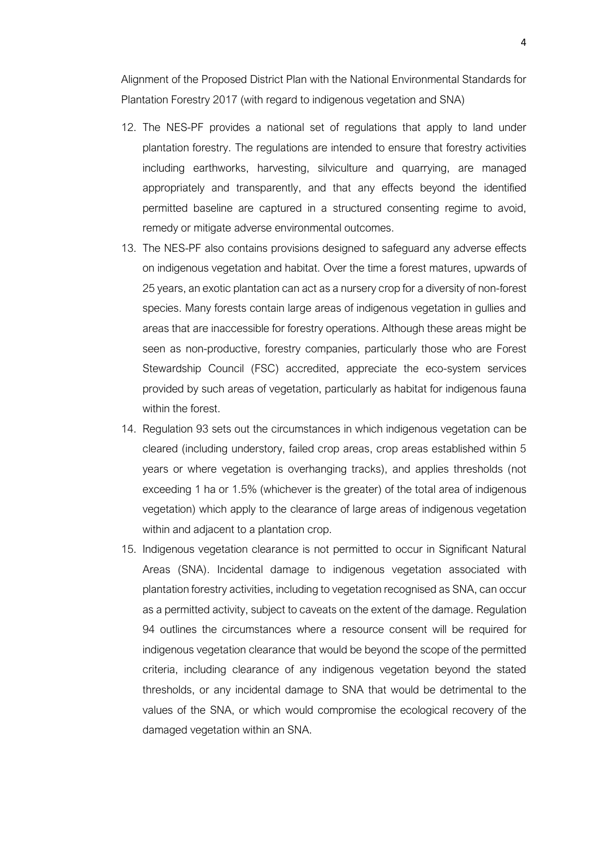Alignment of the Proposed District Plan with the National Environmental Standards for Plantation Forestry 2017 (with regard to indigenous vegetation and SNA)

- 12. The NES-PF provides a national set of regulations that apply to land under plantation forestry. The regulations are intended to ensure that forestry activities including earthworks, harvesting, silviculture and quarrying, are managed appropriately and transparently, and that any effects beyond the identified permitted baseline are captured in a structured consenting regime to avoid, remedy or mitigate adverse environmental outcomes.
- 13. The NES-PF also contains provisions designed to safeguard any adverse effects on indigenous vegetation and habitat. Over the time a forest matures, upwards of 25 years, an exotic plantation can act as a nursery crop for a diversity of non-forest species. Many forests contain large areas of indigenous vegetation in gullies and areas that are inaccessible for forestry operations. Although these areas might be seen as non-productive, forestry companies, particularly those who are Forest Stewardship Council (FSC) accredited, appreciate the eco-system services provided by such areas of vegetation, particularly as habitat for indigenous fauna within the forest.
- 14. Regulation 93 sets out the circumstances in which indigenous vegetation can be cleared (including understory, failed crop areas, crop areas established within 5 years or where vegetation is overhanging tracks), and applies thresholds (not exceeding 1 ha or 1.5% (whichever is the greater) of the total area of indigenous vegetation) which apply to the clearance of large areas of indigenous vegetation within and adjacent to a plantation crop.
- 15. Indigenous vegetation clearance is not permitted to occur in Significant Natural Areas (SNA). Incidental damage to indigenous vegetation associated with plantation forestry activities, including to vegetation recognised as SNA, can occur as a permitted activity, subject to caveats on the extent of the damage. Regulation 94 outlines the circumstances where a resource consent will be required for indigenous vegetation clearance that would be beyond the scope of the permitted criteria, including clearance of any indigenous vegetation beyond the stated thresholds, or any incidental damage to SNA that would be detrimental to the values of the SNA, or which would compromise the ecological recovery of the damaged vegetation within an SNA.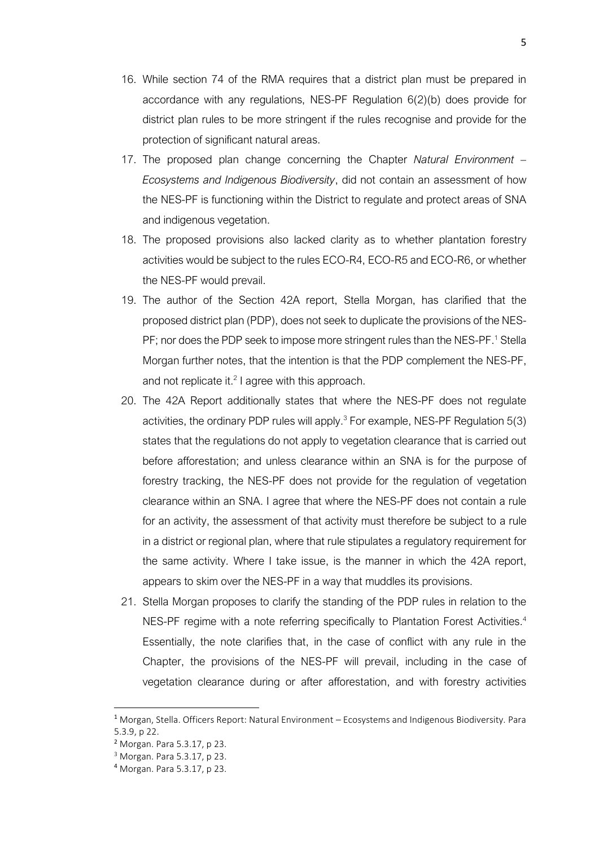- 16. While section 74 of the RMA requires that a district plan must be prepared in accordance with any regulations, NES-PF Regulation 6(2)(b) does provide for district plan rules to be more stringent if the rules recognise and provide for the protection of significant natural areas.
- 17. The proposed plan change concerning the Chapter *Natural Environment – Ecosystems and Indigenous Biodiversity*, did not contain an assessment of how the NES-PF is functioning within the District to regulate and protect areas of SNA and indigenous vegetation.
- 18. The proposed provisions also lacked clarity as to whether plantation forestry activities would be subject to the rules ECO-R4, ECO-R5 and ECO-R6, or whether the NES-PF would prevail.
- 19. The author of the Section 42A report, Stella Morgan, has clarified that the proposed district plan (PDP), does not seek to duplicate the provisions of the NES-PF; nor does the PDP seek to impose more stringent rules than the NES-PF.<sup>1</sup> Stella Morgan further notes, that the intention is that the PDP complement the NES-PF, and not replicate it.<sup>2</sup> I agree with this approach.
- 20. The 42A Report additionally states that where the NES-PF does not regulate activities, the ordinary PDP rules will apply. $3$  For example, NES-PF Regulation  $5(3)$ states that the regulations do not apply to vegetation clearance that is carried out before afforestation; and unless clearance within an SNA is for the purpose of forestry tracking, the NES-PF does not provide for the regulation of vegetation clearance within an SNA. I agree that where the NES-PF does not contain a rule for an activity, the assessment of that activity must therefore be subject to a rule in a district or regional plan, where that rule stipulates a regulatory requirement for the same activity. Where I take issue, is the manner in which the 42A report, appears to skim over the NES-PF in a way that muddles its provisions.
- 21. Stella Morgan proposes to clarify the standing of the PDP rules in relation to the NES-PF regime with a note referring specifically to Plantation Forest Activities.<sup>4</sup> Essentially, the note clarifies that, in the case of conflict with any rule in the Chapter, the provisions of the NES-PF will prevail, including in the case of vegetation clearance during or after afforestation, and with forestry activities

<sup>1</sup> Morgan, Stella. Officers Report: Natural Environment – Ecosystems and Indigenous Biodiversity. Para 5.3.9, p 22.

<sup>2</sup> Morgan. Para 5.3.17, p 23.

<sup>3</sup> Morgan. Para 5.3.17, p 23.

<sup>4</sup> Morgan. Para 5.3.17, p 23.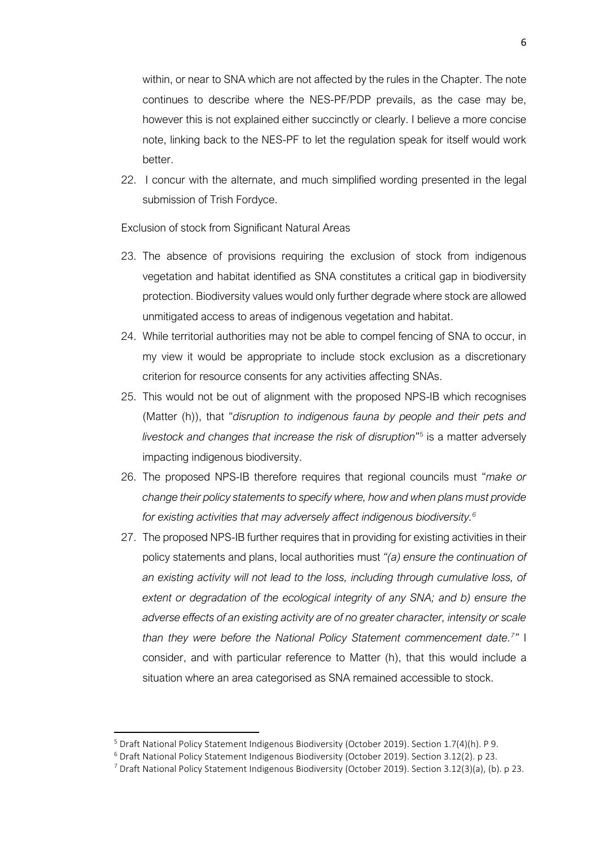within, or near to SNA which are not affected by the rules in the Chapter. The note continues to describe where the NES-PF/PDP prevails, as the case may be, however this is not explained either succinctly or clearly. I believe a more concise note, linking back to the NES-PF to let the regulation speak for itself would work better.

22. I concur with the alternate, and much simplified wording presented in the legal submission of Trish Fordyce.

Exclusion of stock from Significant Natural Areas

- 23. The absence of provisions requiring the exclusion of stock from indigenous vegetation and habitat identified as SNA constitutes a critical gap in biodiversity protection. Biodiversity values would only further degrade where stock are allowed unmitigated access to areas of indigenous vegetation and habitat.
- 24. While territorial authorities may not be able to compel fencing of SNA to occur, in my view it would be appropriate to include stock exclusion as a discretionary criterion for resource consents for any activities affecting SNAs.
- 25. This would not be out of alignment with the proposed NPS-IB which recognises (Matter (h)), that "*disruption to indigenous fauna by people and their pets and*  livestock and changes that increase the risk of disruption"<sup>5</sup> is a matter adversely impacting indigenous biodiversity.
- 26. The proposed NPS-IB therefore requires that regional councils must "*make or change their policy statements to specify where, how and when plans must provide for existing activities that may adversely affect indigenous biodiversity.<sup>6</sup>*
- 27. The proposed NPS-IB further requires that in providing for existing activities in their policy statements and plans, local authorities must *"(a) ensure the continuation of an existing activity will not lead to the loss, including through cumulative loss, of extent or degradation of the ecological integrity of any SNA; and b) ensure the adverse effects of an existing activity are of no greater character, intensity or scale than they were before the National Policy Statement commencement date.<sup>7</sup> "* I consider, and with particular reference to Matter (h), that this would include a situation where an area categorised as SNA remained accessible to stock.

<sup>5</sup> Draft National Policy Statement Indigenous Biodiversity (October 2019). Section 1.7(4)(h). P 9.

<sup>6</sup> Draft National Policy Statement Indigenous Biodiversity (October 2019). Section 3.12(2). p 23.

<sup>7</sup> Draft National Policy Statement Indigenous Biodiversity (October 2019). Section 3.12(3)(a), (b). p 23.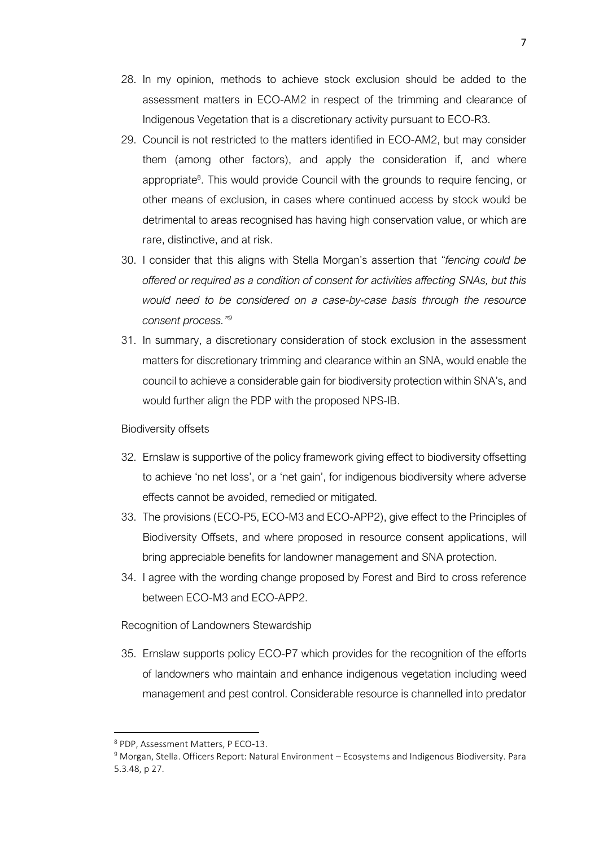- 28. In my opinion, methods to achieve stock exclusion should be added to the assessment matters in ECO-AM2 in respect of the trimming and clearance of Indigenous Vegetation that is a discretionary activity pursuant to ECO-R3.
- 29. Council is not restricted to the matters identified in ECO-AM2, but may consider them (among other factors), and apply the consideration if, and where appropriate<sup>8</sup>. This would provide Council with the grounds to require fencing, or other means of exclusion, in cases where continued access by stock would be detrimental to areas recognised has having high conservation value, or which are rare, distinctive, and at risk.
- 30. I consider that this aligns with Stella Morgan's assertion that "*fencing could be offered or required as a condition of consent for activities affecting SNAs, but this would need to be considered on a case-by-case basis through the resource consent process." 9*
- 31. In summary, a discretionary consideration of stock exclusion in the assessment matters for discretionary trimming and clearance within an SNA, would enable the council to achieve a considerable gain for biodiversity protection within SNA's, and would further align the PDP with the proposed NPS-IB.

## Biodiversity offsets

- 32. Ernslaw is supportive of the policy framework giving effect to biodiversity offsetting to achieve 'no net loss', or a 'net gain', for indigenous biodiversity where adverse effects cannot be avoided, remedied or mitigated.
- 33. The provisions (ECO-P5, ECO-M3 and ECO-APP2), give effect to the Principles of Biodiversity Offsets, and where proposed in resource consent applications, will bring appreciable benefits for landowner management and SNA protection.
- 34. I agree with the wording change proposed by Forest and Bird to cross reference between ECO-M3 and ECO-APP2.

Recognition of Landowners Stewardship

35. Ernslaw supports policy ECO-P7 which provides for the recognition of the efforts of landowners who maintain and enhance indigenous vegetation including weed management and pest control. Considerable resource is channelled into predator

<sup>8</sup> PDP, Assessment Matters, P ECO-13.

<sup>9</sup> Morgan, Stella. Officers Report: Natural Environment – Ecosystems and Indigenous Biodiversity. Para 5.3.48, p 27.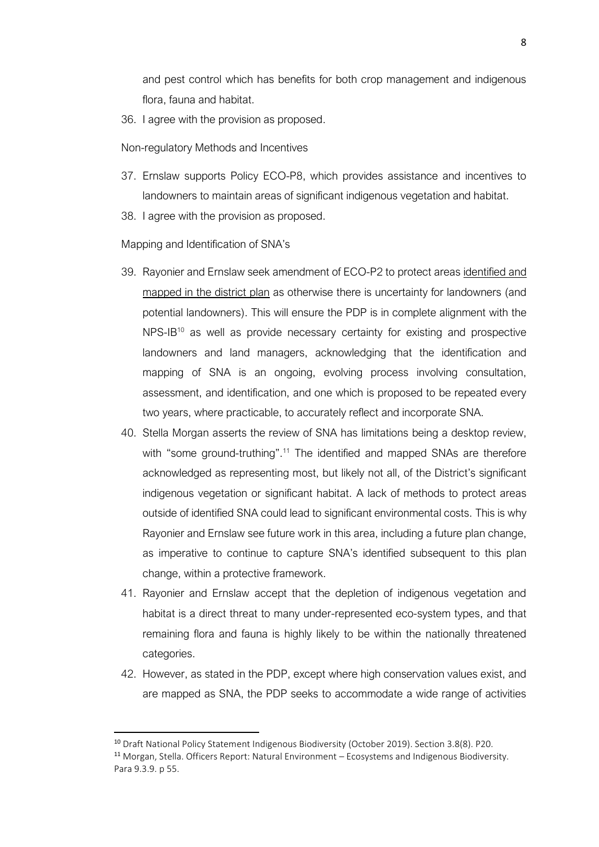and pest control which has benefits for both crop management and indigenous flora, fauna and habitat.

36. I agree with the provision as proposed.

Non-regulatory Methods and Incentives

- 37. Ernslaw supports Policy ECO-P8, which provides assistance and incentives to landowners to maintain areas of significant indigenous vegetation and habitat.
- 38. I agree with the provision as proposed.

Mapping and Identification of SNA's

- 39. Rayonier and Ernslaw seek amendment of ECO-P2 to protect areas identified and mapped in the district plan as otherwise there is uncertainty for landowners (and potential landowners). This will ensure the PDP is in complete alignment with the  $NPS-IB^{10}$  as well as provide necessary certainty for existing and prospective landowners and land managers, acknowledging that the identification and mapping of SNA is an ongoing, evolving process involving consultation, assessment, and identification, and one which is proposed to be repeated every two years, where practicable, to accurately reflect and incorporate SNA.
- 40. Stella Morgan asserts the review of SNA has limitations being a desktop review, with "some ground-truthing".<sup>11</sup> The identified and mapped SNAs are therefore acknowledged as representing most, but likely not all, of the District's significant indigenous vegetation or significant habitat. A lack of methods to protect areas outside of identified SNA could lead to significant environmental costs. This is why Rayonier and Ernslaw see future work in this area, including a future plan change, as imperative to continue to capture SNA's identified subsequent to this plan change, within a protective framework.
- 41. Rayonier and Ernslaw accept that the depletion of indigenous vegetation and habitat is a direct threat to many under-represented eco-system types, and that remaining flora and fauna is highly likely to be within the nationally threatened categories.
- 42. However, as stated in the PDP, except where high conservation values exist, and are mapped as SNA, the PDP seeks to accommodate a wide range of activities

<sup>10</sup> Draft National Policy Statement Indigenous Biodiversity (October 2019). Section 3.8(8). P20. <sup>11</sup> Morgan, Stella. Officers Report: Natural Environment – Ecosystems and Indigenous Biodiversity. Para 9.3.9. p 55.